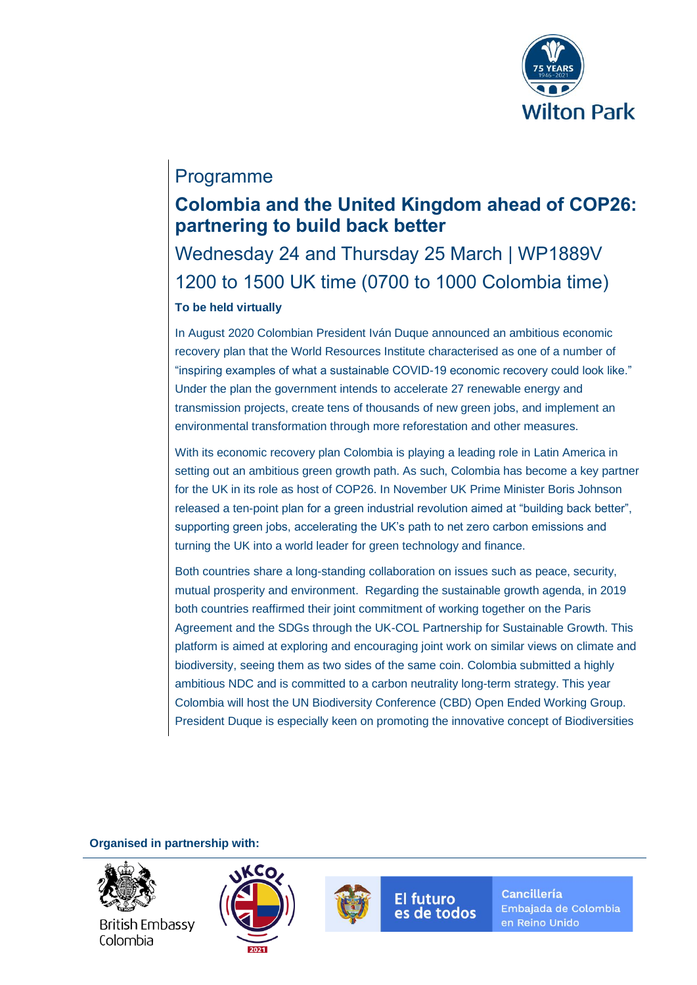

# Programme

# **Colombia and the United Kingdom ahead of COP26: partnering to build back better**

# Wednesday 24 and Thursday 25 March | WP1889V 1200 to 1500 UK time (0700 to 1000 Colombia time) **To be held virtually**

In August 2020 Colombian President Iván Duque announced an ambitious economic recovery plan that the World Resources Institute characterised as one of a number of "inspiring examples of what a sustainable COVID-19 economic recovery could look like." Under the plan the government intends to accelerate 27 renewable energy and transmission projects, create tens of thousands of new green jobs, and implement an environmental transformation through more reforestation and other measures.

With its economic recovery plan Colombia is playing a leading role in Latin America in setting out an ambitious green growth path. As such, Colombia has become a key partner for the UK in its role as host of COP26. In November UK Prime Minister Boris Johnson released a ten-point plan for a green industrial revolution aimed at "building back better", supporting green jobs, accelerating the UK's path to net zero carbon emissions and turning the UK into a world leader for green technology and finance.

Both countries share a long-standing collaboration on issues such as peace, security, mutual prosperity and environment. Regarding the sustainable growth agenda, in 2019 both countries reaffirmed their joint commitment of working together on the Paris Agreement and the SDGs through the UK-COL Partnership for Sustainable Growth. This platform is aimed at exploring and encouraging joint work on similar views on climate and biodiversity, seeing them as two sides of the same coin. Colombia submitted a highly ambitious NDC and is committed to a carbon neutrality long-term strategy. This year Colombia will host the UN Biodiversity Conference (CBD) Open Ended Working Group. President Duque is especially keen on promoting the innovative concept of Biodiversities

**Organised in partnership with:**



**British Embassy** Colombia





**El futuro** es de todos **Cancillería** Embajada de Colombia en Reino Unido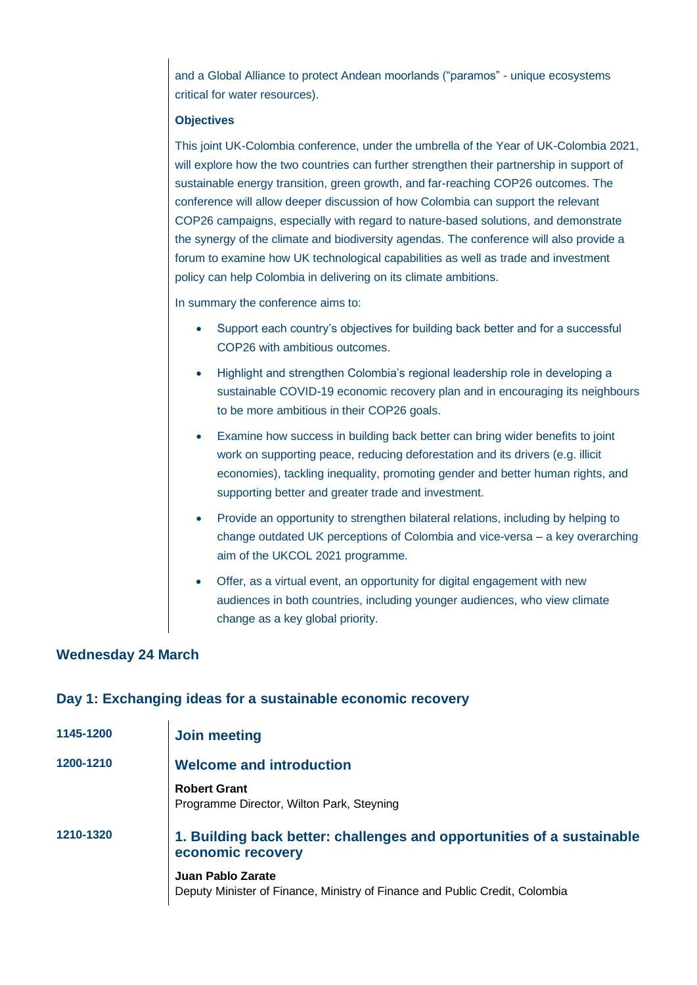and a Global Alliance to protect Andean moorlands ("paramos" - unique ecosystems critical for water resources).

#### **Objectives**

This joint UK-Colombia conference, under the umbrella of the Year of UK-Colombia 2021, will explore how the two countries can further strengthen their partnership in support of sustainable energy transition, green growth, and far-reaching COP26 outcomes. The conference will allow deeper discussion of how Colombia can support the relevant COP26 campaigns, especially with regard to nature-based solutions, and demonstrate the synergy of the climate and biodiversity agendas. The conference will also provide a forum to examine how UK technological capabilities as well as trade and investment policy can help Colombia in delivering on its climate ambitions.

In summary the conference aims to:

- Support each country's objectives for building back better and for a successful COP26 with ambitious outcomes.
- Highlight and strengthen Colombia's regional leadership role in developing a sustainable COVID-19 economic recovery plan and in encouraging its neighbours to be more ambitious in their COP26 goals.
- Examine how success in building back better can bring wider benefits to joint work on supporting peace, reducing deforestation and its drivers (e.g. illicit economies), tackling inequality, promoting gender and better human rights, and supporting better and greater trade and investment.
- Provide an opportunity to strengthen bilateral relations, including by helping to change outdated UK perceptions of Colombia and vice-versa – a key overarching aim of the UKCOL 2021 programme.
- Offer, as a virtual event, an opportunity for digital engagement with new audiences in both countries, including younger audiences, who view climate change as a key global priority.

## **Wednesday 24 March**

## **Day 1: Exchanging ideas for a sustainable economic recovery**

| 1145-1200 | Join meeting                                                                                     |
|-----------|--------------------------------------------------------------------------------------------------|
| 1200-1210 | <b>Welcome and introduction</b>                                                                  |
|           | <b>Robert Grant</b><br>Programme Director, Wilton Park, Steyning                                 |
| 1210-1320 | 1. Building back better: challenges and opportunities of a sustainable<br>economic recovery      |
|           | Juan Pablo Zarate<br>Deputy Minister of Finance, Ministry of Finance and Public Credit, Colombia |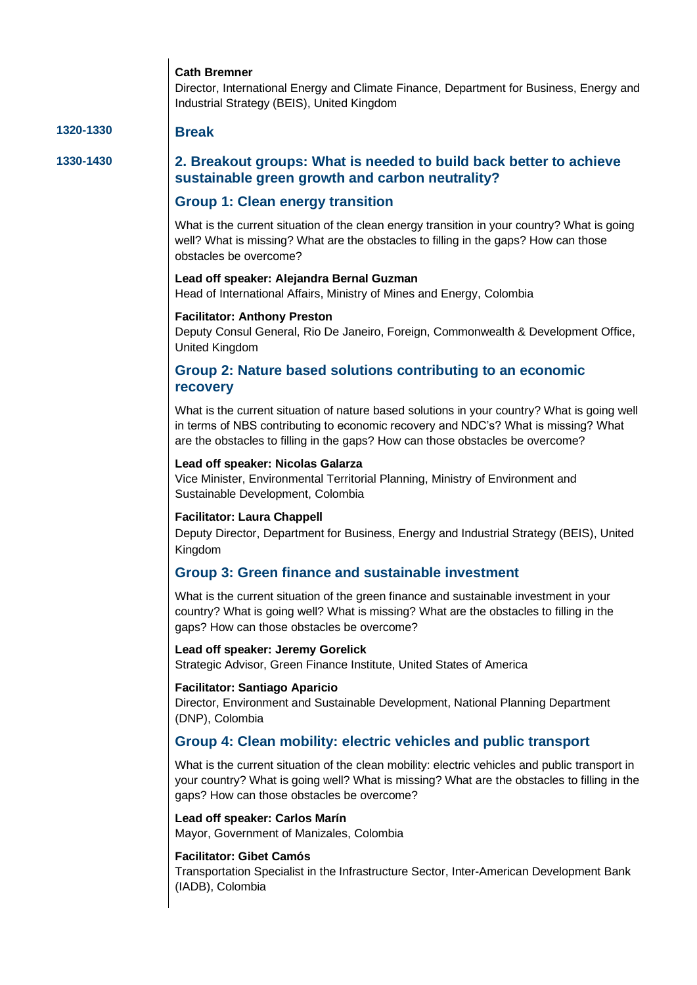## **Cath Bremner**

Director, International Energy and Climate Finance, Department for Business, Energy and Industrial Strategy (BEIS), United Kingdom

## **1320-1330 Break**

## **1330-1430 2. Breakout groups: What is needed to build back better to achieve sustainable green growth and carbon neutrality?**

## **Group 1: Clean energy transition**

What is the current situation of the clean energy transition in your country? What is going well? What is missing? What are the obstacles to filling in the gaps? How can those obstacles be overcome?

### **Lead off speaker: Alejandra Bernal Guzman**

Head of International Affairs, Ministry of Mines and Energy, Colombia

#### **Facilitator: Anthony Preston**

Deputy Consul General, Rio De Janeiro, Foreign, Commonwealth & Development Office, United Kingdom

## **Group 2: Nature based solutions contributing to an economic recovery**

What is the current situation of nature based solutions in your country? What is going well in terms of NBS contributing to economic recovery and NDC's? What is missing? What are the obstacles to filling in the gaps? How can those obstacles be overcome?

#### **Lead off speaker: Nicolas Galarza**

Vice Minister, Environmental Territorial Planning, Ministry of Environment and Sustainable Development, Colombia

#### **Facilitator: Laura Chappell**

Deputy Director, Department for Business, Energy and Industrial Strategy (BEIS), United Kingdom

### **Group 3: Green finance and sustainable investment**

What is the current situation of the green finance and sustainable investment in your country? What is going well? What is missing? What are the obstacles to filling in the gaps? How can those obstacles be overcome?

#### **Lead off speaker: Jeremy Gorelick**

Strategic Advisor, Green Finance Institute, United States of America

#### **Facilitator: Santiago Aparicio**

Director, Environment and Sustainable Development, National Planning Department (DNP), Colombia

## **Group 4: Clean mobility: electric vehicles and public transport**

What is the current situation of the clean mobility: electric vehicles and public transport in your country? What is going well? What is missing? What are the obstacles to filling in the gaps? How can those obstacles be overcome?

#### **Lead off speaker: Carlos Marín**

Mayor, Government of Manizales, Colombia

#### **Facilitator: Gibet Camós**

Transportation Specialist in the Infrastructure Sector, Inter-American Development Bank (IADB), Colombia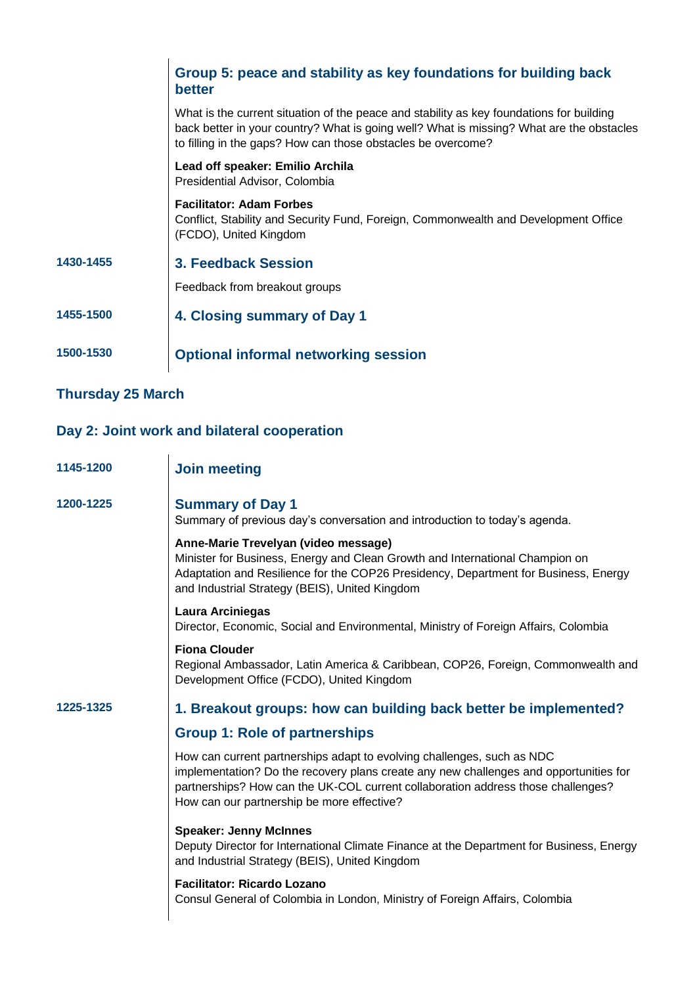|           | Group 5: peace and stability as key foundations for building back<br><b>better</b>                                                                                                                                                                   |
|-----------|------------------------------------------------------------------------------------------------------------------------------------------------------------------------------------------------------------------------------------------------------|
|           | What is the current situation of the peace and stability as key foundations for building<br>back better in your country? What is going well? What is missing? What are the obstacles<br>to filling in the gaps? How can those obstacles be overcome? |
|           | Lead off speaker: Emilio Archila<br>Presidential Advisor, Colombia                                                                                                                                                                                   |
|           | <b>Facilitator: Adam Forbes</b><br>Conflict, Stability and Security Fund, Foreign, Commonwealth and Development Office<br>(FCDO), United Kingdom                                                                                                     |
| 1430-1455 | 3. Feedback Session                                                                                                                                                                                                                                  |
|           | Feedback from breakout groups                                                                                                                                                                                                                        |
| 1455-1500 | 4. Closing summary of Day 1                                                                                                                                                                                                                          |
| 1500-1530 | <b>Optional informal networking session</b>                                                                                                                                                                                                          |

## **Thursday 25 March**

## **Day 2: Joint work and bilateral cooperation**

| 1145-1200 | <b>Join meeting</b>                                                                                                                                                                                                                                                                               |
|-----------|---------------------------------------------------------------------------------------------------------------------------------------------------------------------------------------------------------------------------------------------------------------------------------------------------|
| 1200-1225 | <b>Summary of Day 1</b><br>Summary of previous day's conversation and introduction to today's agenda.                                                                                                                                                                                             |
|           | Anne-Marie Trevelyan (video message)<br>Minister for Business, Energy and Clean Growth and International Champion on<br>Adaptation and Resilience for the COP26 Presidency, Department for Business, Energy<br>and Industrial Strategy (BEIS), United Kingdom                                     |
|           | Laura Arciniegas<br>Director, Economic, Social and Environmental, Ministry of Foreign Affairs, Colombia                                                                                                                                                                                           |
|           | <b>Fiona Clouder</b><br>Regional Ambassador, Latin America & Caribbean, COP26, Foreign, Commonwealth and<br>Development Office (FCDO), United Kingdom                                                                                                                                             |
| 1225-1325 | 1. Breakout groups: how can building back better be implemented?                                                                                                                                                                                                                                  |
|           | <b>Group 1: Role of partnerships</b>                                                                                                                                                                                                                                                              |
|           | How can current partnerships adapt to evolving challenges, such as NDC<br>implementation? Do the recovery plans create any new challenges and opportunities for<br>partnerships? How can the UK-COL current collaboration address those challenges?<br>How can our partnership be more effective? |
|           | <b>Speaker: Jenny McInnes</b><br>Deputy Director for International Climate Finance at the Department for Business, Energy<br>and Industrial Strategy (BEIS), United Kingdom                                                                                                                       |
|           | <b>Facilitator: Ricardo Lozano</b><br>Consul General of Colombia in London, Ministry of Foreign Affairs, Colombia                                                                                                                                                                                 |